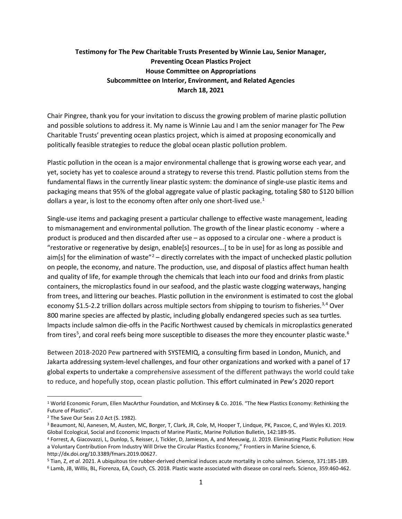# **Testimony for The Pew Charitable Trusts Presented by Winnie Lau, Senior Manager, Preventing Ocean Plastics Project House Committee on Appropriations Subcommittee on Interior, Environment, and Related Agencies March 18, 2021**

Chair Pingree, thank you for your invitation to discuss the growing problem of marine plastic pollution and possible solutions to address it. My name is Winnie Lau and I am the senior manager for The Pew Charitable Trusts' preventing ocean plastics project, which is aimed at proposing economically and politically feasible strategies to reduce the global ocean plastic pollution problem.

Plastic pollution in the ocean is a major environmental challenge that is growing worse each year, and yet, society has yet to coalesce around a strategy to reverse this trend. Plastic pollution stems from the fundamental flaws in the currently linear plastic system: the dominance of single-use plastic items and packaging means that 95% of the global aggregate value of plastic packaging, totaling \$80 to \$120 billion dollars a year, is lost to the economy often after only one short-lived use.<sup>[1](#page-0-0)</sup>

Single-use items and packaging present a particular challenge to effective waste management, leading to mismanagement and environmental pollution. The growth of the linear plastic economy - where a product is produced and then discarded after use – as opposed to a circular one - where a product is "restorative or regenerative by design, enable[s] resources…[ to be in use] for as long as possible and aim[s] for the elimination of waste" $2$  – directly correlates with the impact of unchecked plastic pollution on people, the economy, and nature. The production, use, and disposal of plastics affect human health and quality of life, for example through the chemicals that leach into our food and drinks from plastic containers, the microplastics found in our seafood, and the plastic waste clogging waterways, hanging from trees, and littering our beaches. Plastic pollution in the environment is estimated to cost the global economy \$1.5-2.2 trillion dollars across multiple sectors from shipping to tourism to fisheries.<sup>[3,](#page-0-2)[4](#page-0-3)</sup> Over 800 marine species are affected by plastic, including globally endangered species such as sea turtles. Impacts include salmon die-offs in the Pacific Northwest caused by chemicals in microplastics generated from tires<sup>[5](#page-0-4)</sup>, and coral reefs being more susceptible to diseases the more they encounter plastic waste.<sup>[6](#page-0-5)</sup>

Between 2018-2020 Pew partnered with SYSTEMIQ, a consulting firm based in London, Munich, and Jakarta addressing system-level challenges, and four other organizations and worked with a panel of 17 global experts to undertake a comprehensive assessment of the different pathways the world could take to reduce, and hopefully stop, ocean plastic pollution. This effort culminated in Pew's 2020 report

<span id="page-0-0"></span><sup>1</sup> World Economic Forum, Ellen MacArthur Foundation, and McKinsey & Co. 2016. "The New Plastics Economy: Rethinking the Future of Plastics".

<span id="page-0-1"></span><sup>2</sup> The Save Our Seas 2.0 Act (S. 1982).

<span id="page-0-2"></span><sup>3</sup> Beaumont, NJ, Aanesen, M, Austen, MC, Borger, T, Clark, JR, Cole, M, Hooper T, Lindque, PK, Pascoe, C, and Wyles KJ. 2019. Global Ecological, Social and Economic Impacts of Marine Plastic, Marine Pollution Bulletin, 142:189-95.

<span id="page-0-3"></span><sup>4</sup> Forrest, A, Giacovazzi, L, Dunlop, S, Reisser, J, Tickler, D, Jamieson, A, and Meeuwig, JJ. 2019. Eliminating Plastic Pollution: How a Voluntary Contribution From Industry Will Drive the Circular Plastics Economy," Frontiers in Marine Science, 6. http://dx.doi.org/10.3389/fmars.2019.00627.

<span id="page-0-4"></span><sup>5</sup> Tian, Z, *et al.* 2021. A ubiquitous tire rubber-derived chemical induces acute mortality in coho salmon. Science, 371:185-189.

<span id="page-0-5"></span><sup>6</sup> Lamb, JB, Willis, BL, Fiorenza, EA, Couch, CS. 2018. Plastic waste associated with disease on coral reefs. Science, 359:460-462.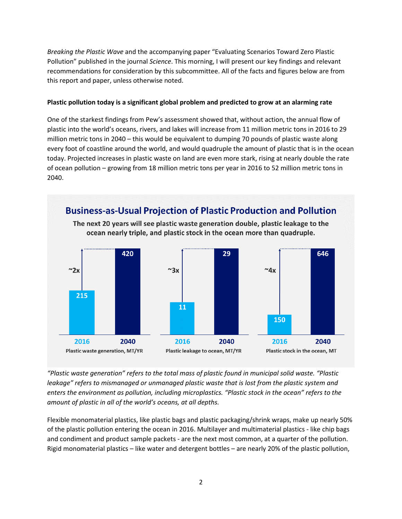*Breaking the Plastic Wave* and the accompanying paper "Evaluating Scenarios Toward Zero Plastic Pollution" published in the journal *Science*. This morning, I will present our key findings and relevant recommendations for consideration by this subcommittee. All of the facts and figures below are from this report and paper, unless otherwise noted.

#### **Plastic pollution today is a significant global problem and predicted to grow at an alarming rate**

One of the starkest findings from Pew's assessment showed that, without action, the annual flow of plastic into the world's oceans, rivers, and lakes will increase from 11 million metric tons in 2016 to 29 million metric tons in 2040 – this would be equivalent to dumping 70 pounds of plastic waste along every foot of coastline around the world, and would quadruple the amount of plastic that is in the ocean today. Projected increases in plastic waste on land are even more stark, rising at nearly double the rate of ocean pollution – growing from 18 million metric tons per year in 2016 to 52 million metric tons in 2040.



*"Plastic waste generation" refers to the total mass of plastic found in municipal solid waste. "Plastic leakage" refers to mismanaged or unmanaged plastic waste that is lost from the plastic system and enters the environment as pollution, including microplastics. "Plastic stock in the ocean" refers to the amount of plastic in all of the world's oceans, at all depths.*

Flexible monomaterial plastics, like plastic bags and plastic packaging/shrink wraps, make up nearly 50% of the plastic pollution entering the ocean in 2016. Multilayer and multimaterial plastics - like chip bags and condiment and product sample packets - are the next most common, at a quarter of the pollution. Rigid monomaterial plastics – like water and detergent bottles – are nearly 20% of the plastic pollution,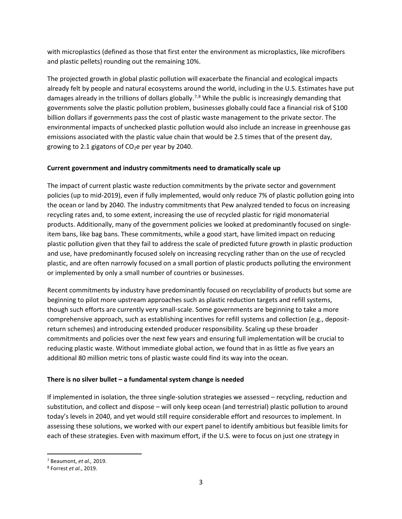with microplastics (defined as those that first enter the environment as microplastics, like microfibers and plastic pellets) rounding out the remaining 10%.

The projected growth in global plastic pollution will exacerbate the financial and ecological impacts already felt by people and natural ecosystems around the world, including in the U.S. Estimates have put damages already in the trillions of dollars globally.<sup>[7,](#page-2-0)[8](#page-2-1)</sup> While the public is increasingly demanding that governments solve the plastic pollution problem, businesses globally could face a financial risk of \$100 billion dollars if governments pass the cost of plastic waste management to the private sector. The environmental impacts of unchecked plastic pollution would also include an increase in greenhouse gas emissions associated with the plastic value chain that would be 2.5 times that of the present day, growing to 2.1 gigatons of  $CO<sub>2</sub>e$  per year by 2040.

### **Current government and industry commitments need to dramatically scale up**

The impact of current plastic waste reduction commitments by the private sector and government policies (up to mid-2019), even if fully implemented, would only reduce 7% of plastic pollution going into the ocean or land by 2040. The industry commitments that Pew analyzed tended to focus on increasing recycling rates and, to some extent, increasing the use of recycled plastic for rigid monomaterial products. Additionally, many of the government policies we looked at predominantly focused on singleitem bans, like bag bans. These commitments, while a good start, have limited impact on reducing plastic pollution given that they fail to address the scale of predicted future growth in plastic production and use, have predominantly focused solely on increasing recycling rather than on the use of recycled plastic, and are often narrowly focused on a small portion of plastic products polluting the environment or implemented by only a small number of countries or businesses.

Recent commitments by industry have predominantly focused on recyclability of products but some are beginning to pilot more upstream approaches such as plastic reduction targets and refill systems, though such efforts are currently very small-scale. Some governments are beginning to take a more comprehensive approach, such as establishing incentives for refill systems and collection (e.g., depositreturn schemes) and introducing extended producer responsibility. Scaling up these broader commitments and policies over the next few years and ensuring full implementation will be crucial to reducing plastic waste. Without immediate global action, we found that in as little as five years an additional 80 million metric tons of plastic waste could find its way into the ocean.

### **There is no silver bullet – a fundamental system change is needed**

If implemented in isolation, the three single-solution strategies we assessed – recycling, reduction and substitution, and collect and dispose – will only keep ocean (and terrestrial) plastic pollution to around today's levels in 2040, and yet would still require considerable effort and resources to implement. In assessing these solutions, we worked with our expert panel to identify ambitious but feasible limits for each of these strategies. Even with maximum effort, if the U.S. were to focus on just one strategy in

<span id="page-2-0"></span><sup>7</sup> Beaumont, *et al.,* 2019.

<span id="page-2-1"></span><sup>8</sup> Forrest *et al.*, 2019.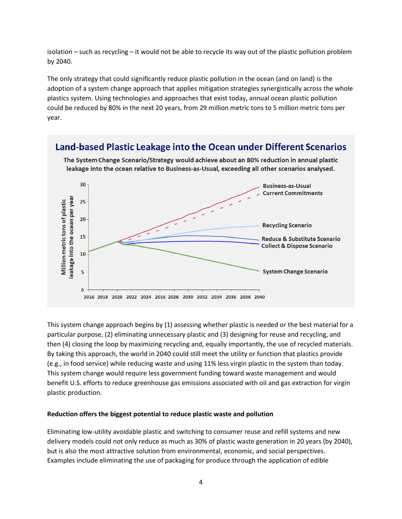isolation – such as recycling – it would not be able to recycle its way out of the plastic pollution problem by 2040.

The only strategy that could significantly reduce plastic pollution in the ocean (and on land) is the adoption of a system change approach that applies mitigation strategies synergistically across the whole plastics system. Using technologies and approaches that exist today, annual ocean plastic pollution could be reduced by 80% in the next 20 years, from 29 million metric tons to 5 million metric tons per year.

# Land-based Plastic Leakage into the Ocean under Different Scenarios



The System Change Scenario/Strategy would achieve about an 80% reduction in annual plastic leakage into the ocean relative to Business-as-Usual, exceeding all other scenarios analysed.

This system change approach begins by (1) assessing whether plastic is needed or the best material for a particular purpose, (2) eliminating unnecessary plastic and (3) designing for reuse and recycling, and then (4) closing the loop by maximizing recycling and, equally importantly, the use of recycled materials. By taking this approach, the world in 2040 could still meet the utility or function that plastics provide (e.g., in food service) while reducing waste and using 11% less virgin plastic in the system than today. This system change would require less government funding toward waste management and would benefit U.S. efforts to reduce greenhouse gas emissions associated with oil and gas extraction for virgin plastic production.

#### **Reduction offers the biggest potential to reduce plastic waste and pollution**

Eliminating low-utility avoidable plastic and switching to consumer reuse and refill systems and new delivery models could not only reduce as much as 30% of plastic waste generation in 20 years (by 2040), but is also the most attractive solution from environmental, economic, and social perspectives. Examples include eliminating the use of packaging for produce through the application of edible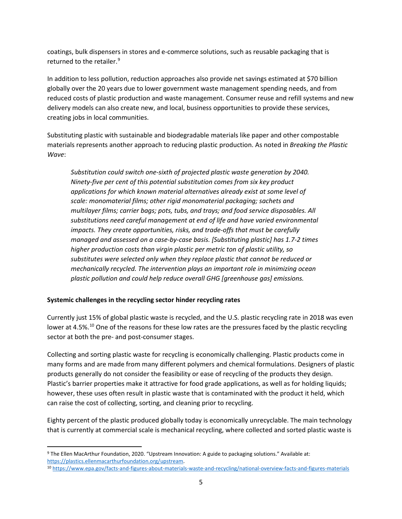coatings, bulk dispensers in stores and e-commerce solutions, such as reusable packaging that is returned to the retailer. [9](#page-4-0)

In addition to less pollution, reduction approaches also provide net savings estimated at \$70 billion globally over the 20 years due to lower government waste management spending needs, and from reduced costs of plastic production and waste management. Consumer reuse and refill systems and new delivery models can also create new, and local, business opportunities to provide these services, creating jobs in local communities.

Substituting plastic with sustainable and biodegradable materials like paper and other compostable materials represents another approach to reducing plastic production. As noted in *Breaking the Plastic Wave*:

*Substitution could switch one-sixth of projected plastic waste generation by 2040. Ninety-five per cent of this potential substitution comes from six key product applications for which known material alternatives already exist at some level of scale: monomaterial films; other rigid monomaterial packaging; sachets and multilayer films; carrier bags; pots, tubs, and trays; and food service disposables. All substitutions need careful management at end of life and have varied environmental impacts. They create opportunities, risks, and trade-offs that must be carefully managed and assessed on a case-by-case basis. [Substituting plastic] has 1.7-2 times higher production costs than virgin plastic per metric ton of plastic utility, so substitutes were selected only when they replace plastic that cannot be reduced or mechanically recycled. The intervention plays an important role in minimizing ocean plastic pollution and could help reduce overall GHG [greenhouse gas] emissions.*

### **Systemic challenges in the recycling sector hinder recycling rates**

Currently just 15% of global plastic waste is recycled, and the U.S. plastic recycling rate in 2018 was even lower at 4.5%.<sup>[10](#page-4-1)</sup> One of the reasons for these low rates are the pressures faced by the plastic recycling sector at both the pre- and post-consumer stages.

Collecting and sorting plastic waste for recycling is economically challenging. Plastic products come in many forms and are made from many different polymers and chemical formulations. Designers of plastic products generally do not consider the feasibility or ease of recycling of the products they design. Plastic's barrier properties make it attractive for food grade applications, as well as for holding liquids; however, these uses often result in plastic waste that is contaminated with the product it held, which can raise the cost of collecting, sorting, and cleaning prior to recycling.

Eighty percent of the plastic produced globally today is economically unrecyclable. The main technology that is currently at commercial scale is mechanical recycling, where collected and sorted plastic waste is

<span id="page-4-0"></span><sup>9</sup> The Ellen MacArthur Foundation, 2020. "Upstream Innovation: A guide to packaging solutions." Available at: [https://plastics.ellenmacarthurfoundation.org/upstream.](https://plastics.ellenmacarthurfoundation.org/upstream)

<span id="page-4-1"></span><sup>10</sup> <https://www.epa.gov/facts-and-figures-about-materials-waste-and-recycling/national-overview-facts-and-figures-materials>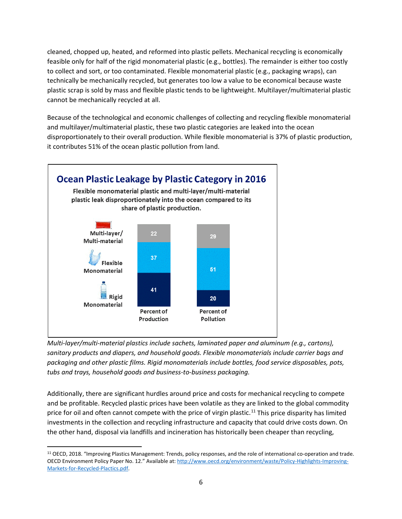cleaned, chopped up, heated, and reformed into plastic pellets. Mechanical recycling is economically feasible only for half of the rigid monomaterial plastic (e.g., bottles). The remainder is either too costly to collect and sort, or too contaminated. Flexible monomaterial plastic (e.g., packaging wraps), can technically be mechanically recycled, but generates too low a value to be economical because waste plastic scrap is sold by mass and flexible plastic tends to be lightweight. Multilayer/multimaterial plastic cannot be mechanically recycled at all.

Because of the technological and economic challenges of collecting and recycling flexible monomaterial and multilayer/multimaterial plastic, these two plastic categories are leaked into the ocean disproportionately to their overall production. While flexible monomaterial is 37% of plastic production, it contributes 51% of the ocean plastic pollution from land.



*Multi-layer/multi-material plastics include sachets, laminated paper and aluminum (e.g., cartons), sanitary products and diapers, and household goods. Flexible monomaterials include carrier bags and packaging and other plastic films. Rigid monomaterials include bottles, food service disposables, pots, tubs and trays, household goods and business-to-business packaging.*

Additionally, there are significant hurdles around price and costs for mechanical recycling to compete and be profitable. Recycled plastic prices have been volatile as they are linked to the global commodity price for oil and often cannot compete with the price of virgin plastic.<sup>[11](#page-5-0)</sup> This price disparity has limited investments in the collection and recycling infrastructure and capacity that could drive costs down. On the other hand, disposal via landfills and incineration has historically been cheaper than recycling,

<span id="page-5-0"></span><sup>11</sup> OECD, 2018. "Improving Plastics Management: Trends, policy responses, and the role of international co-operation and trade. OECD Environment Policy Paper No. 12." Available at: [http://www.oecd.org/environment/waste/Policy-Highlights-Improving-](http://www.oecd.org/environment/waste/Policy-Highlights-Improving-Markets-for-Recycled-Plactics.pdf)[Markets-for-Recycled-Plactics.pdf.](http://www.oecd.org/environment/waste/Policy-Highlights-Improving-Markets-for-Recycled-Plactics.pdf)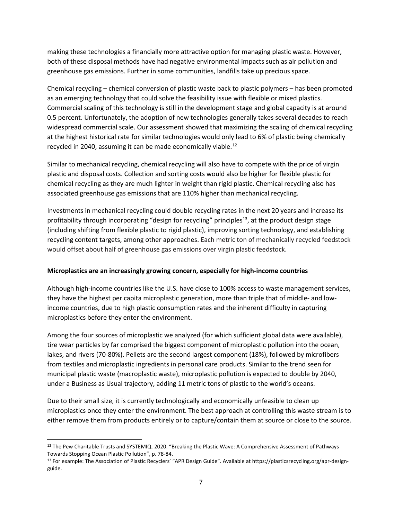making these technologies a financially more attractive option for managing plastic waste. However, both of these disposal methods have had negative environmental impacts such as air pollution and greenhouse gas emissions. Further in some communities, landfills take up precious space.

Chemical recycling – chemical conversion of plastic waste back to plastic polymers – has been promoted as an emerging technology that could solve the feasibility issue with flexible or mixed plastics. Commercial scaling of this technology is still in the development stage and global capacity is at around 0.5 percent. Unfortunately, the adoption of new technologies generally takes several decades to reach widespread commercial scale. Our assessment showed that maximizing the scaling of chemical recycling at the highest historical rate for similar technologies would only lead to 6% of plastic being chemically recycled in 2040, assuming it can be made economically viable.<sup>[12](#page-6-0)</sup>

Similar to mechanical recycling, chemical recycling will also have to compete with the price of virgin plastic and disposal costs. Collection and sorting costs would also be higher for flexible plastic for chemical recycling as they are much lighter in weight than rigid plastic. Chemical recycling also has associated greenhouse gas emissions that are 110% higher than mechanical recycling.

Investments in mechanical recycling could double recycling rates in the next 20 years and increase its profitability through incorporating "design for recycling" principles<sup>13</sup>, at the product design stage (including shifting from flexible plastic to rigid plastic), improving sorting technology, and establishing recycling content targets, among other approaches. Each metric ton of mechanically recycled feedstock would offset about half of greenhouse gas emissions over virgin plastic feedstock.

### **Microplastics are an increasingly growing concern, especially for high-income countries**

Although high-income countries like the U.S. have close to 100% access to waste management services, they have the highest per capita microplastic generation, more than triple that of middle- and lowincome countries, due to high plastic consumption rates and the inherent difficulty in capturing microplastics before they enter the environment.

Among the four sources of microplastic we analyzed (for which sufficient global data were available), tire wear particles by far comprised the biggest component of microplastic pollution into the ocean, lakes, and rivers (70-80%). Pellets are the second largest component (18%), followed by microfibers from textiles and microplastic ingredients in personal care products. Similar to the trend seen for municipal plastic waste (macroplastic waste), microplastic pollution is expected to double by 2040, under a Business as Usual trajectory, adding 11 metric tons of plastic to the world's oceans.

Due to their small size, it is currently technologically and economically unfeasible to clean up microplastics once they enter the environment. The best approach at controlling this waste stream is to either remove them from products entirely or to capture/contain them at source or close to the source.

<span id="page-6-0"></span><sup>&</sup>lt;sup>12</sup> The Pew Charitable Trusts and SYSTEMIQ. 2020. "Breaking the Plastic Wave: A Comprehensive Assessment of Pathways Towards Stopping Ocean Plastic Pollution", p. 78-84.

<span id="page-6-1"></span><sup>13</sup> For example: The Association of Plastic Recyclers' "APR Design Guide". Available at https://plasticsrecycling.org/apr-designguide.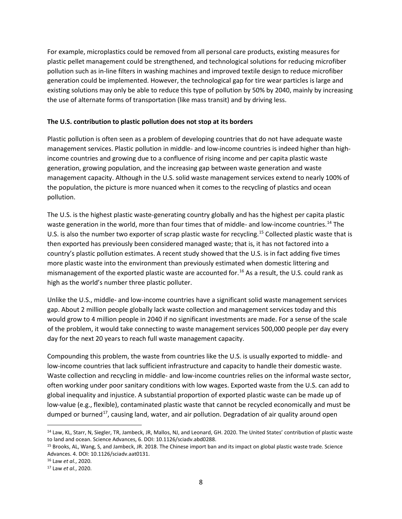For example, microplastics could be removed from all personal care products, existing measures for plastic pellet management could be strengthened, and technological solutions for reducing microfiber pollution such as in-line filters in washing machines and improved textile design to reduce microfiber generation could be implemented. However, the technological gap for tire wear particles is large and existing solutions may only be able to reduce this type of pollution by 50% by 2040, mainly by increasing the use of alternate forms of transportation (like mass transit) and by driving less.

#### **The U.S. contribution to plastic pollution does not stop at its borders**

Plastic pollution is often seen as a problem of developing countries that do not have adequate waste management services. Plastic pollution in middle- and low-income countries is indeed higher than highincome countries and growing due to a confluence of rising income and per capita plastic waste generation, growing population, and the increasing gap between waste generation and waste management capacity. Although in the U.S. solid waste management services extend to nearly 100% of the population, the picture is more nuanced when it comes to the recycling of plastics and ocean pollution.

The U.S. is the highest plastic waste-generating country globally and has the highest per capita plastic waste generation in the world, more than four times that of middle- and low-income countries.<sup>[14](#page-7-0)</sup> The U.S. is also the number two exporter of scrap plastic waste for recycling.<sup>[15](#page-7-1)</sup> Collected plastic waste that is then exported has previously been considered managed waste; that is, it has not factored into a country's plastic pollution estimates. A recent study showed that the U.S. is in fact adding five times more plastic waste into the environment than previously estimated when domestic littering and mismanagement of the exported plastic waste are accounted for. [16](#page-7-2) As a result, the U.S. could rank as high as the world's number three plastic polluter.

Unlike the U.S., middle- and low-income countries have a significant solid waste management services gap. About 2 million people globally lack waste collection and management services today and this would grow to 4 million people in 2040 if no significant investments are made. For a sense of the scale of the problem, it would take connecting to waste management services 500,000 people per day every day for the next 20 years to reach full waste management capacity.

Compounding this problem, the waste from countries like the U.S. is usually exported to middle- and low-income countries that lack sufficient infrastructure and capacity to handle their domestic waste. Waste collection and recycling in middle- and low-income countries relies on the informal waste sector, often working under poor sanitary conditions with low wages. Exported waste from the U.S. can add to global inequality and injustice. A substantial proportion of exported plastic waste can be made up of low-value (e.g., flexible), contaminated plastic waste that cannot be recycled economically and must be dumped or burned<sup>17</sup>, causing land, water, and air pollution. Degradation of air quality around open

<span id="page-7-0"></span><sup>&</sup>lt;sup>14</sup> Law, KL, Starr, N, Siegler, TR, Jambeck, JR, Mallos, NJ, and Leonard, GH. 2020. The United States' contribution of plastic waste to land and ocean. Science Advances, 6. DOI: 10.1126/sciadv.abd0288.

<span id="page-7-1"></span><sup>15</sup> Brooks, AL, Wang, S, and Jambeck, JR. 2018. The Chinese import ban and its impact on global plastic waste trade. Science Advances. 4. DOI: 10.1126/sciadv.aat0131.

<span id="page-7-2"></span><sup>16</sup> Law *et al.*, 2020.

<span id="page-7-3"></span><sup>17</sup> Law *et al.*, 2020.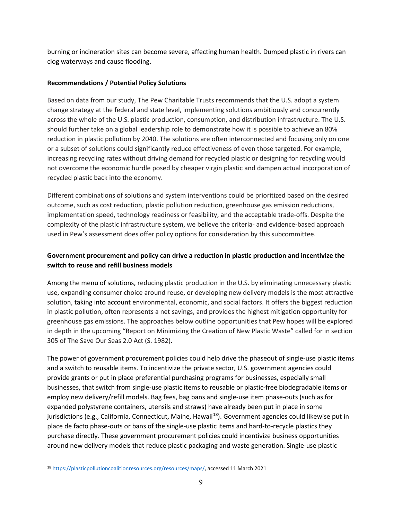burning or incineration sites can become severe, affecting human health. Dumped plastic in rivers can clog waterways and cause flooding.

### **Recommendations / Potential Policy Solutions**

Based on data from our study, The Pew Charitable Trusts recommends that the U.S. adopt a system change strategy at the federal and state level, implementing solutions ambitiously and concurrently across the whole of the U.S. plastic production, consumption, and distribution infrastructure. The U.S. should further take on a global leadership role to demonstrate how it is possible to achieve an 80% reduction in plastic pollution by 2040. The solutions are often interconnected and focusing only on one or a subset of solutions could significantly reduce effectiveness of even those targeted. For example, increasing recycling rates without driving demand for recycled plastic or designing for recycling would not overcome the economic hurdle posed by cheaper virgin plastic and dampen actual incorporation of recycled plastic back into the economy.

Different combinations of solutions and system interventions could be prioritized based on the desired outcome, such as cost reduction, plastic pollution reduction, greenhouse gas emission reductions, implementation speed, technology readiness or feasibility, and the acceptable trade-offs. Despite the complexity of the plastic infrastructure system, we believe the criteria- and evidence-based approach used in Pew's assessment does offer policy options for consideration by this subcommittee.

## **Government procurement and policy can drive a reduction in plastic production and incentivize the switch to reuse and refill business models**

Among the menu of solutions, reducing plastic production in the U.S. by eliminating unnecessary plastic use, expanding consumer choice around reuse, or developing new delivery models is the most attractive solution, taking into account environmental, economic, and social factors. It offers the biggest reduction in plastic pollution, often represents a net savings, and provides the highest mitigation opportunity for greenhouse gas emissions. The approaches below outline opportunities that Pew hopes will be explored in depth in the upcoming "Report on Minimizing the Creation of New Plastic Waste" called for in section 305 of The Save Our Seas 2.0 Act (S. 1982).

The power of government procurement policies could help drive the phaseout of single-use plastic items and a switch to reusable items. To incentivize the private sector, U.S. government agencies could provide grants or put in place preferential purchasing programs for businesses, especially small businesses, that switch from single-use plastic items to reusable or plastic-free biodegradable items or employ new delivery/refill models. Bag fees, bag bans and single-use item phase-outs (such as for expanded polystyrene containers, utensils and straws) have already been put in place in some jurisdictions (e.g., California, Connecticut, Maine, Hawaii<sup>18</sup>). Government agencies could likewise put in place de facto phase-outs or bans of the single-use plastic items and hard-to-recycle plastics they purchase directly. These government procurement policies could incentivize business opportunities around new delivery models that reduce plastic packaging and waste generation. Single-use plastic

<span id="page-8-0"></span><sup>18</sup> [https://plasticpollutioncoalitionresources.org/resources/maps/,](https://plasticpollutioncoalitionresources.org/resources/maps/) accessed 11 March 2021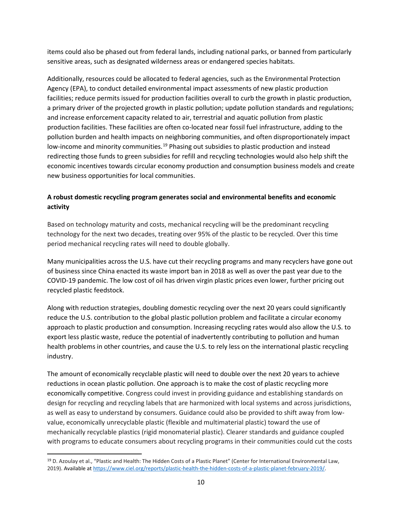items could also be phased out from federal lands, including national parks, or banned from particularly sensitive areas, such as designated wilderness areas or endangered species habitats.

Additionally, resources could be allocated to federal agencies, such as the Environmental Protection Agency (EPA), to conduct detailed environmental impact assessments of new plastic production facilities; reduce permits issued for production facilities overall to curb the growth in plastic production, a primary driver of the projected growth in plastic pollution; update pollution standards and regulations; and increase enforcement capacity related to air, terrestrial and aquatic pollution from plastic production facilities. These facilities are often co-located near fossil fuel infrastructure, adding to the pollution burden and health impacts on neighboring communities, and often disproportionately impact low-income and minority communities.<sup>[19](#page-9-0)</sup> Phasing out subsidies to plastic production and instead redirecting those funds to green subsidies for refill and recycling technologies would also help shift the economic incentives towards circular economy production and consumption business models and create new business opportunities for local communities.

## **A robust domestic recycling program generates social and environmental benefits and economic activity**

Based on technology maturity and costs, mechanical recycling will be the predominant recycling technology for the next two decades, treating over 95% of the plastic to be recycled. Over this time period mechanical recycling rates will need to double globally.

Many municipalities across the U.S. have cut their recycling programs and many recyclers have gone out of business since China enacted its waste import ban in 2018 as well as over the past year due to the COVID-19 pandemic. The low cost of oil has driven virgin plastic prices even lower, further pricing out recycled plastic feedstock.

Along with reduction strategies, doubling domestic recycling over the next 20 years could significantly reduce the U.S. contribution to the global plastic pollution problem and facilitate a circular economy approach to plastic production and consumption. Increasing recycling rates would also allow the U.S. to export less plastic waste, reduce the potential of inadvertently contributing to pollution and human health problems in other countries, and cause the U.S. to rely less on the international plastic recycling industry.

The amount of economically recyclable plastic will need to double over the next 20 years to achieve reductions in ocean plastic pollution. One approach is to make the cost of plastic recycling more economically competitive. Congress could invest in providing guidance and establishing standards on design for recycling and recycling labels that are harmonized with local systems and across jurisdictions, as well as easy to understand by consumers. Guidance could also be provided to shift away from lowvalue, economically unrecyclable plastic (flexible and multimaterial plastic) toward the use of mechanically recyclable plastics (rigid monomaterial plastic). Clearer standards and guidance coupled with programs to educate consumers about recycling programs in their communities could cut the costs

<span id="page-9-0"></span><sup>&</sup>lt;sup>19</sup> D. Azoulay et al., "Plastic and Health: The Hidden Costs of a Plastic Planet" (Center for International Environmental Law, 2019). Available at [https://www.ciel.org/reports/plastic-health-the-hidden-costs-of-a-plastic-planet-february-2019/.](https://www.ciel.org/reports/plastic-health-the-hidden-costs-of-a-plastic-planet-february-2019/)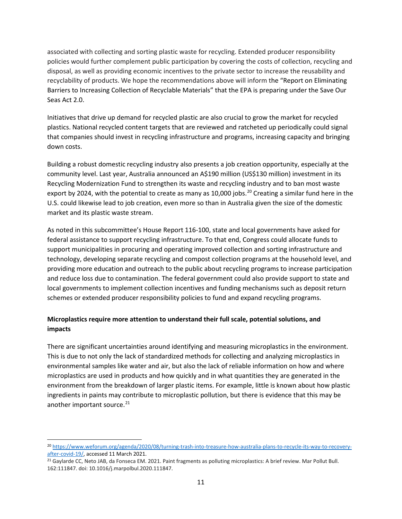associated with collecting and sorting plastic waste for recycling. Extended producer responsibility policies would further complement public participation by covering the costs of collection, recycling and disposal, as well as providing economic incentives to the private sector to increase the reusability and recyclability of products. We hope the recommendations above will inform the "Report on Eliminating Barriers to Increasing Collection of Recyclable Materials" that the EPA is preparing under the Save Our Seas Act 2.0.

Initiatives that drive up demand for recycled plastic are also crucial to grow the market for recycled plastics. National recycled content targets that are reviewed and ratcheted up periodically could signal that companies should invest in recycling infrastructure and programs, increasing capacity and bringing down costs.

Building a robust domestic recycling industry also presents a job creation opportunity, especially at the community level. Last year, Australia announced an A\$190 million (US\$130 million) investment in its Recycling Modernization Fund to strengthen its waste and recycling industry and to ban most waste export by [20](#page-10-0)24, with the potential to create as many as 10,000 jobs.<sup>20</sup> Creating a similar fund here in the U.S. could likewise lead to job creation, even more so than in Australia given the size of the domestic market and its plastic waste stream.

As noted in this subcommittee's House Report 116-100, state and local governments have asked for federal assistance to support recycling infrastructure. To that end, Congress could allocate funds to support municipalities in procuring and operating improved collection and sorting infrastructure and technology, developing separate recycling and compost collection programs at the household level, and providing more education and outreach to the public about recycling programs to increase participation and reduce loss due to contamination. The federal government could also provide support to state and local governments to implement collection incentives and funding mechanisms such as deposit return schemes or extended producer responsibility policies to fund and expand recycling programs.

## **Microplastics require more attention to understand their full scale, potential solutions, and impacts**

There are significant uncertainties around identifying and measuring microplastics in the environment. This is due to not only the lack of standardized methods for collecting and analyzing microplastics in environmental samples like water and air, but also the lack of reliable information on how and where microplastics are used in products and how quickly and in what quantities they are generated in the environment from the breakdown of larger plastic items. For example, little is known about how plastic ingredients in paints may contribute to microplastic pollution, but there is evidence that this may be another important source.<sup>[21](#page-10-1)</sup>

<span id="page-10-0"></span><sup>20</sup> [https://www.weforum.org/agenda/2020/08/turning-trash-into-treasure-how-australia-plans-to-recycle-its-way-to-recovery](https://www.weforum.org/agenda/2020/08/turning-trash-into-treasure-how-australia-plans-to-recycle-its-way-to-recovery-after-covid-19/)[after-covid-19/,](https://www.weforum.org/agenda/2020/08/turning-trash-into-treasure-how-australia-plans-to-recycle-its-way-to-recovery-after-covid-19/) accessed 11 March 2021.

<span id="page-10-1"></span><sup>&</sup>lt;sup>21</sup> Gaylarde CC, Neto JAB, da Fonseca EM. 2021. Paint fragments as polluting microplastics: A brief review. Mar Pollut Bull. 162:111847. doi: 10.1016/j.marpolbul.2020.111847.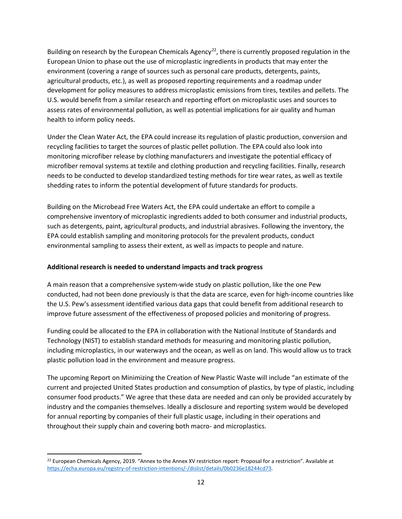Building on research by the European Chemicals Agency<sup>22</sup>, there is currently proposed regulation in the European Union to phase out the use of microplastic ingredients in products that may enter the environment (covering a range of sources such as personal care products, detergents, paints, agricultural products, etc.), as well as proposed reporting requirements and a roadmap under development for policy measures to address microplastic emissions from tires, textiles and pellets. The U.S. would benefit from a similar research and reporting effort on microplastic uses and sources to assess rates of environmental pollution, as well as potential implications for air quality and human health to inform policy needs.

Under the Clean Water Act, the EPA could increase its regulation of plastic production, conversion and recycling facilities to target the sources of plastic pellet pollution. The EPA could also look into monitoring microfiber release by clothing manufacturers and investigate the potential efficacy of microfiber removal systems at textile and clothing production and recycling facilities. Finally, research needs to be conducted to develop standardized testing methods for tire wear rates, as well as textile shedding rates to inform the potential development of future standards for products.

Building on the Microbead Free Waters Act, the EPA could undertake an effort to compile a comprehensive inventory of microplastic ingredients added to both consumer and industrial products, such as detergents, paint, agricultural products, and industrial abrasives. Following the inventory, the EPA could establish sampling and monitoring protocols for the prevalent products, conduct environmental sampling to assess their extent, as well as impacts to people and nature.

### **Additional research is needed to understand impacts and track progress**

A main reason that a comprehensive system-wide study on plastic pollution, like the one Pew conducted, had not been done previously is that the data are scarce, even for high-income countries like the U.S. Pew's assessment identified various data gaps that could benefit from additional research to improve future assessment of the effectiveness of proposed policies and monitoring of progress.

Funding could be allocated to the EPA in collaboration with the National Institute of Standards and Technology (NIST) to establish standard methods for measuring and monitoring plastic pollution, including microplastics, in our waterways and the ocean, as well as on land. This would allow us to track plastic pollution load in the environment and measure progress.

The upcoming Report on Minimizing the Creation of New Plastic Waste will include "an estimate of the current and projected United States production and consumption of plastics, by type of plastic, including consumer food products." We agree that these data are needed and can only be provided accurately by industry and the companies themselves. Ideally a disclosure and reporting system would be developed for annual reporting by companies of their full plastic usage, including in their operations and throughout their supply chain and covering both macro- and microplastics.

<span id="page-11-0"></span><sup>&</sup>lt;sup>22</sup> European Chemicals Agency, 2019. "Annex to the Annex XV restriction report: Proposal for a restriction". Available at [https://echa.europa.eu/registry-of-restriction-intentions/-/dislist/details/0b0236e18244cd73.](https://echa.europa.eu/registry-of-restriction-intentions/-/dislist/details/0b0236e18244cd73)